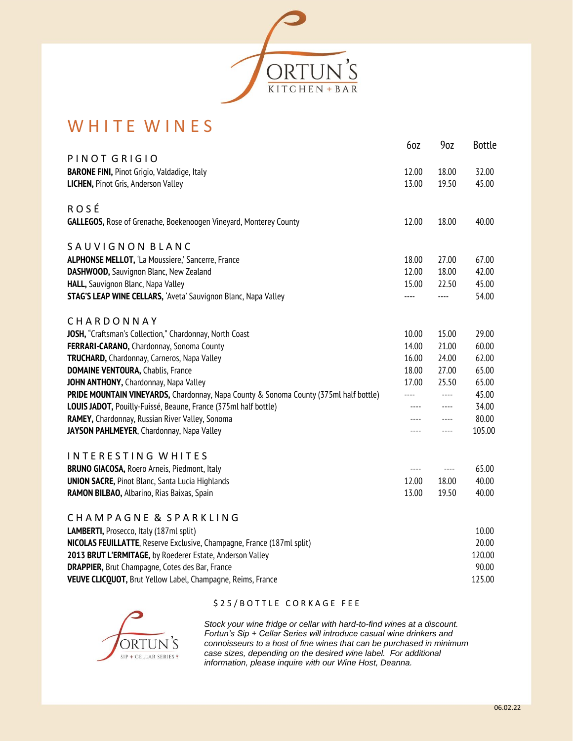

## WHITE WINES

|                                                                                       | 6oz   | 90Z                      | <b>Bottle</b> |
|---------------------------------------------------------------------------------------|-------|--------------------------|---------------|
| PINOT GRIGIO                                                                          |       |                          |               |
| <b>BARONE FINI, Pinot Grigio, Valdadige, Italy</b>                                    | 12.00 | 18.00                    | 32.00         |
| LICHEN, Pinot Gris, Anderson Valley                                                   | 13.00 | 19.50                    | 45.00         |
|                                                                                       |       |                          |               |
| <b>ROSÉ</b>                                                                           |       |                          |               |
| GALLEGOS, Rose of Grenache, Boekenoogen Vineyard, Monterey County                     | 12.00 | 18.00                    | 40.00         |
| SAUVIGNON BLANC                                                                       |       |                          |               |
| ALPHONSE MELLOT, 'La Moussiere,' Sancerre, France                                     | 18.00 | 27.00                    | 67.00         |
| DASHWOOD, Sauvignon Blanc, New Zealand                                                | 12.00 | 18.00                    | 42.00         |
| HALL, Sauvignon Blanc, Napa Valley                                                    | 15.00 | 22.50                    | 45.00         |
| <b>STAG'S LEAP WINE CELLARS, 'Aveta' Sauvignon Blanc, Napa Valley</b>                 | ----  | ----                     | 54.00         |
| CHARDONNAY                                                                            |       |                          |               |
| JOSH, "Craftsman's Collection," Chardonnay, North Coast                               | 10.00 | 15.00                    | 29.00         |
| FERRARI-CARANO, Chardonnay, Sonoma County                                             | 14.00 | 21.00                    | 60.00         |
| TRUCHARD, Chardonnay, Carneros, Napa Valley                                           | 16.00 | 24.00                    | 62.00         |
| <b>DOMAINE VENTOURA, Chablis, France</b>                                              | 18.00 | 27.00                    | 65.00         |
| JOHN ANTHONY, Chardonnay, Napa Valley                                                 | 17.00 | 25.50                    | 65.00         |
| PRIDE MOUNTAIN VINEYARDS, Chardonnay, Napa County & Sonoma County (375ml half bottle) | ----  | $\overline{\phantom{a}}$ | 45.00         |
| LOUIS JADOT, Pouilly-Fuissé, Beaune, France (375ml half bottle)                       | ----  | $\cdots$                 | 34.00         |
| RAMEY, Chardonnay, Russian River Valley, Sonoma                                       | ----  | $\cdots$                 | 80.00         |
| JAYSON PAHLMEYER, Chardonnay, Napa Valley                                             | ----  | $\cdots$                 | 105.00        |
| INTERESTING WHITES                                                                    |       |                          |               |
| <b>BRUNO GIACOSA, Roero Arneis, Piedmont, Italy</b>                                   | $---$ | $\cdots$                 | 65.00         |
| <b>UNION SACRE, Pinot Blanc, Santa Lucia Highlands</b>                                | 12.00 | 18.00                    | 40.00         |
| RAMON BILBAO, Albarino, Rias Baixas, Spain                                            | 13.00 | 19.50                    | 40.00         |
|                                                                                       |       |                          |               |
| CHAMPAGNE & SPARKLING                                                                 |       |                          |               |
| LAMBERTI, Prosecco, Italy (187ml split)                                               |       |                          | 10.00         |
| NICOLAS FEUILLATTE, Reserve Exclusive, Champagne, France (187ml split)                |       |                          | 20.00         |
| 2013 BRUT L'ERMITAGE, by Roederer Estate, Anderson Valley                             |       |                          | 120.00        |
| <b>DRAPPIER, Brut Champagne, Cotes des Bar, France</b>                                |       |                          | 90.00         |
| VEUVE CLICQUOT, Brut Yellow Label, Champagne, Reims, France                           |       |                          | 125.00        |



## \$ 2 5 / B O T T L E C O R K A G E F E E

*Stock your wine fridge or cellar with hard-to-find wines at a discount. Fortun's Sip + Cellar Series will introduce casual wine drinkers and connoisseurs to a host of fine wines that can be purchased in minimum case sizes, depending on the desired wine label. For additional information, please inquire with our Wine Host, Deanna.*